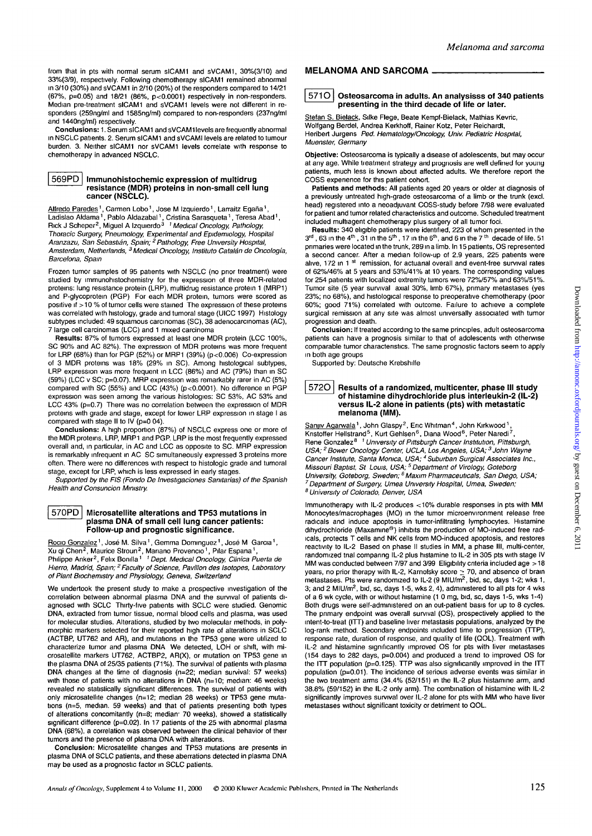from that in pts with normal serum sICAMI and sVCAMI, 30%(3/10) and 33%(3/9), respectively. Following chemotherapy sICAMI remained abnormal in 3/10 (30%) and sVCAMI in 2/10 (20%) of the responders compared to 14/21 (67%, p=0.05) and 18/21 (86%, p<0.0001) respectively in non-responders. Median pre-treatment sICAMI and sVCAMI levels were not different in responders (259ng/ml and 1585ng/ml) compared to non-responders (237ng/ml and 1440ng/ml) respectively.

**Conclusions:** 1. Serum sICAMI and sVCAMI levels are frequently abnormal in NSCLC patients. 2. Serum sICAMI and sVCAMI levels are related to tumour burden. 3. Neither sICAMI nor sVCAMI levels correlate with response to chemotherapy in advanced NSCLC.

# **| 569PD | Immunohistochemic expression of multidrug resistance (MDR) proteins in non-small cell lung cancer (NSCLC).**

Alfredo Paredes<sup>1</sup>, Carmen Lobo<sup>1</sup>, Jose M Izquierdo<sup>1</sup>, Larraitz Egaña<sup>1</sup> Ladislao Aldama<sup>1</sup>, Pablo Aldazabal<sup>1</sup>, Cristina Sarasqueta<sup>1</sup>, Teresa Abad<sup>1</sup>,<br>Rick J Scheper<sup>2</sup>, Miguel A Izquierdo<sup>3 *1 Medical Oncology, Pathology,*</sup> Thoracic Surgery, Pneumology, Experimental and Epidemiology, Hospital Aranzazu, San Sebastıán, Spain; <sup>2</sup> Pathology, Free University Hospital,<br>Amsterdam, Netherlands, <sup>3</sup> Medical Oncology, Instituto Catalán de Oncología, Barcelona, Spam

Frozen tumor samples of 95 patients with NSCLC (no prior treatment) were studied by immunohistochemistry for the expression of three MDR-related proteins: lung resistance protein (LRP), multidrug resistance protein 1 (MRP1) and P-glycoprotein (PGP) For each MDR protein, tumors were scored as positive if > 10 % of tumor cells were stained The expression of these proteins was correlated with histology, grade and tumoral stage (UICC 1997) Histology subtypes included: 49 squamous carcinomas (SC), 38 adenocarcinomas (AC), 7 large cell carcinomas (LCC) and 1 mixed carcinoma

**Results:** 87% of tumors expressed at least one MDR protein (LCC 100%, SC 90% and AC 82%). The expression of MDR proteins was more frequent for LRP (68%) than for PGP (52%) or MRP1 (39%) (p<0.006) Co-expression of 3 MDR proteins was 18% (29% in SC). Among histological subtypes, LRP expression was more frequent in LCC (86%) and AC (79%) than in SC (59%) (LCC v SC; p=0.07). MRP expression was remarkably rarer in AC (5%) compared with SC (55%) and LCC (43%) (p<0.0001). No difference in PGP expression was seen among the various histologies: SC 53%, AC 53% and LCC 43% (p=0.7) There was no correlation between the expression of MDR proteins with grade and stage, except for lower LRP expression in stage I as compared with stage II to IV (p=0 04).

**Conclusions:** A high proportion (87%) of NSCLC express one or more of the MDR proteins, LRP, MRP1 and PGP. LRP is the most frequently expressed overall and, in particular, in AC and LCC as opposite to SC. MRP expression is remarkably infrequent in AC SC simultaneously expressed 3 proteins more often. There were no differences with respect to histologic grade and tumoral stage, except for LRP, which is less expressed in early stages.

Supported by the FIS (Fondo De Investigaciones Samtarias) of the Spanish Health and Consuncion Ministry.

#### **I 570PD | Microsatellite alterations and TP53 mutations in plasma DNA of small cell lung cancer patients: Follow-up and prognostic significance.**

Rocio Gonzalez<sup>1</sup>, José M. Silva<sup>1</sup>, Gemma Dominguez<sup>1</sup>, José M Garcia<sup>1</sup>, Xu qi Chen<sup>2</sup>, Maurice Stroun<sup>2</sup>, Mariano Provencio<sup>1</sup>, Pilar Espana<sup>1</sup>,<br>Philippe Anker<sup>2</sup>, Felix Bonilla<sup>1 *1 Dept. Medical Oncology, Clinica Puerta de*</sup> Hierro, Madrid, Spain; <sup>2</sup> Faculty of Science, Pavillon des Isotopes, Laboratory of Plant Biochemistry and Physiology, Geneva, Switzerland

We undertook the present study to make a prospective investigation of the correlation between abnormal plasma DNA and the survival of patients diagnosed with SCLC Thirty-five patients with SCLC were studied. Genomic DNA, extracted from tumor tissue, normal blood cells and plasma, was used for molecular studies. Alterations, studied by two molecular methods, in polymorphic markers selected for their reported high rate of alterations in SCLC (ACTBP, UT762 and AR), and mutations in the TP53 gene were utilized to characterize tumor and plasma DNA We detected, LOH or shift, with microsatellite markers UT762, ACTBP2, AR(X), or mutation on TP53 gene in the plasma DNA of 25/35 patients (71%). The survival of patients with plasma DNA changes at the time of diagnosis (n=22; median survival: 57 weeks) with those of patients with no alterations in DNA (n=10; median: 46 weeks) revealed no statistically significant differences. The survival of patients with only microsatellite changes (n=12; median 28 weeks) or TP53 gene mutations (n=5, median. 59 weeks) and that of patients presenting both types of alterations concomitantly ( $n=8$ ; median: 70 weeks), showed a statistically significant difference (p=0.02). In 17 patients of the 25 with abnormal plasma DNA (68%), a correlation was observed between the clinical behavior of their tumors and the presence of plasma DNA with alterations.

**Conclusion:** Microsatellite changes and TP53 mutations are presents in plasma DNA of SCLC patients, and these aberrations detected in plasma DNA may be used as a prognostic factor in SCLC patients.

# **MELANOMA AND SARCOMA**

# **I 5710 I Osteosarcoma in adults. An analysisss of 340 patients presenting in the third decade of life or later.**

Stefan S. Bielack, Silke Flege, Beate Kempf-Bielack, Mathias Kevric, Wolfgang Berdel, Andrea Kerkhoff, Rainer Kotz, Peter Reichardt, Heribert Jurgens Ped. Hematology/Oncology, Univ. Pediatric Hospital, Muenster, Germany

**Objective:** Osteosarcoma is typically a disease of adolescents, but may occur at any age. While tieatment strategy and prognosis are well defined for youny patients, much less is known about affected adults. We therefore report the COSS experience for this patient cohort.

**Patients and methods:** All patients aged 20 years or older at diagnosis of a previously untreated high-grade osteosarcoma of a limb or the trunk (excl. head) registered into a neoadjuvant COSS-study before 7/98 were evaluated for patient and tumor related characteristics and outcome. Scheduled treatment included multiagent chemotherapy plus surgery of all tumor foci.

**Results:** 340 eligible patients were identified, 223 of whom presented in the  $3<sup>rd</sup>$  , 63 in the 4<sup>th</sup> , 31 in the 5<sup>th</sup> , 17 in the 6<sup>th</sup>, and 6 in the 7<sup>th</sup> decade of life. 51 primaries were located in the trunk, 289 in a limb. In 15 patients, OS represented a second cancer. After a median follow-up of 2.9 years, 225 patients were alive, 172 in 1<sup>st</sup> remission, for actuanal overall and event-free survival rates of 62%/46% at 5 years and 53%/41% at 10 years. The corresponding values for 254 patients with localized extremity tumors were 72%/57% and 63%/51%. Tumor site (5 year survival axial 30%, limb 67%), primary metastases (yes 23%; no 68%), and histological response to preoperative chemotherapy (poor 60%; good 71%) correlated with outcome. Failure to achieve a complete surgical remission at any site was almost universally associated with tumor progression and death.

**Conclusion:** If treated according to the same principles, adult osteosarcoma patients can have a prognosis similar to that of adolescents with otherwise comparable tumor characteristics. The same prognostic factors seem to apply in both age groups

Supported by: Deutsche Krebshilfe

#### **5720 Results of a randomized, multicenter, phase III study of histamine dihydrochloride plus interleukin-2 (IL-2) versus IL-2 alone in patients (pts) with metastatic melanoma (MM).**

San<u>jiv Agarwala</u> <sup>1</sup>, John Glaspy<sup>2</sup>, Eric Whitman<sup>4</sup>, John Kirkwood <sup>1</sup>,<br>Kristoffer Hellstrand <sup>5</sup>, Kurt Gehlsen <sup>6</sup>, Diana Wood <sup>6</sup>, Peter Naredi <sup>7</sup>, Rene Gonzalez<sup>8</sup><sup>1</sup> University of Pittsburgh Cancer Institution, Pittsburgh, USA; <sup>2</sup> Bower Oncology Center, UCLA, Los Angeles, USA; <sup>3</sup> John Wayne<br>Cancer Institute, Santa Monica, USA; <sup>4</sup> Suburban Surgical Associates Inc. Missouri Baptist, St Louis, USA; <sup>5</sup> Department of Virology, Goteborg University, Goteborg, Sweden; <sup>6</sup> Maxim Pharmaceuticals, San Diego, USA, 7 Department of Surgery, Umea University Hospital, Umea, Sweden; <sup>8</sup> University of Colorado, Denver, USA

Immunotherapy with IL-2 produces <10% durable responses in pts with MM Monocytes/macrophages (MO) in the tumor microenvironment release free radicals and induce apoptosis in tumor-infiltrating lymphocytes. Histamine dihydrochloride (Maxamine®) inhibits the production of MO-induced free radicals, protects T cells and NK cells from MO-induced apoptosis, and restores reactivity to IL-2 Based on phase II studies in MM, a phase III, multi-center, randomized trial comparing IL-2 plus histamine to IL-2 in 305 pts with stage IV MM was conducted between 7/97 and 3/99 Eligibility criteria included age > 18 years, no prior therapy with IL-2, Karnofsky score  $\geq$  70, and absence of brain<br>metastases. Pts were randomized to IL-2 (9 MIU/m<sup>2</sup>, bid, sc, days 1-2; wks 1, 3; and 2 MIU/ $m^2$ , bid, sc, days 1-5, wks 2, 4), administered to all pts for 4 wks of a 6 wk cycle, with or without histamine (1 0 mg, bid, sc, days 1-5, wks 1-4) Both drugs were self-administered on an out-patient basis for up to 8 cycles. The primary endpoint was overall survival (OS), prospectively applied to the intent-to-treat (ITT) and baseline liver metastasis populations, analyzed by the log-rank method. Secondary endpoints included time to progression (TTP), response rate, duration of response, and quality of life (QOL). Treatment with IL-2 and histamine significantly improved OS for pts with liver metastases (154 days to 282 days, p=0.004) and produced a trend to improved OS for the ITT population (p=0.125). TTP was also significantly improved in the ITT population (p=0.01). The incidence of serious adverse events was similar in the two treatment arms (34.4% (52/151) in the IL-2 plus histamine arm, and 38.8% (59/152) in the IL-2 only arm). The combination of histamine with IL-2 significantly improves survival over IL-2 alone for pts with MM who have liver metastases without significant toxicity or detriment to QOL.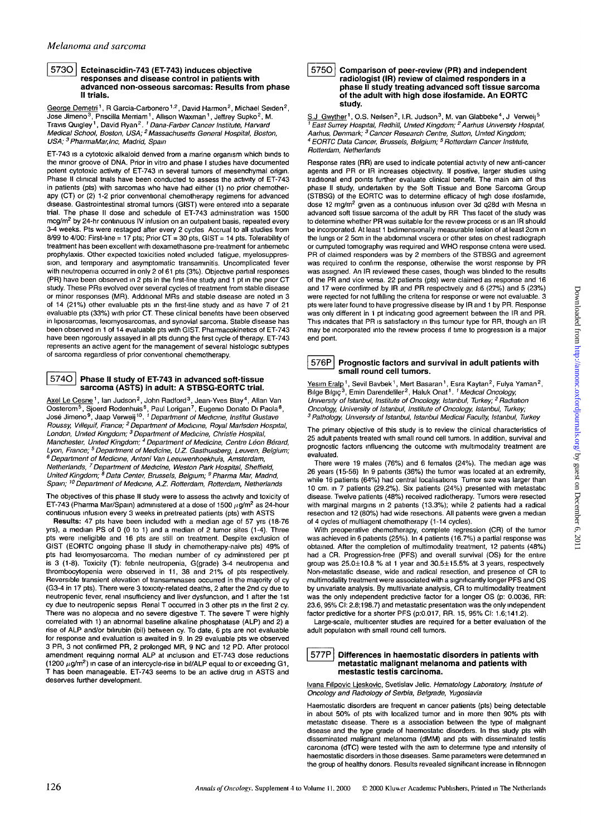#### **| 573O | Ecteinascidin-743 (ET-743) induces objective responses and disease control in patients with advanced non-osseous sarcomas: Results from phase II trials.**

George Demetri<sup>1</sup>, R Garcia-Carbonero<sup>1,2</sup>, David Harmon<sup>2</sup>, Michael Seiden<sup>2</sup>, Jose Jimeno<sup>3</sup>, Priscilla Merriam<sup>1</sup>, Allison Waxman<sup>1</sup>, Jeffrey Supko<sup>2</sup>, M.<br>Travis Quigley<sup>1</sup>, David Ryan<sup>2</sup>. *<sup>1</sup> Dana-Farber Cancer Institute, Harvard*<br>*Medical School, Boston, USA; <sup>2</sup> Massachusetts General Hospital,* USA; <sup>3</sup> PharmaMar,Inc, Madrid, Spain

ET-743 is a cytotoxic alkaloid derived from a marine organism which binds to the minor groove of DNA. Prior in vitro and phase I studies have documented potent cytotoxic activity of ET-743 in several tumors of mesenchymal origin. Phase II clinical trials have been conducted to assess the activity of ET-743 in patients (pts) with sarcomas who have had either (1) no prior chemotherapy (CT) or (2) 1 -2 prior conventional chemotherapy regimens for advanced disease. Gastrointestinal stromal tumors (GIST) were entered into a separate trial. The phase II dose and schedule of ET-743 administration was 1500 mcg/m<sup>2</sup> by 24-hr continuous IV infusion on an outpatient basis, repeated every 3-4 weeks. Pts were restaged after every 2 cycles Accrual to all studies from 8/99 to 4/00: First-line = 17 pts; Prior CT = 30 pts, GIST = 14 pts. Tolerabihty of treatment has been excellent with dexamethasone pre-treatment for antiemetic prophylaxis. Other expected toxicities noted included fatigue, myelosuppression, and temporary and asymptomatic transaminitis. Uncomplicated fever with neutropenia occurred in only 2 of 61 pts (3%). Objective partial responses (PR) have been observed in 2 pts in the first-line study and 1 pt in the prior CT study. These PRs evolved over several cycles of treatment from stable disease or minor responses (MR). Additional MRs and stable disease are noted in 3 of 14 (21%) other evaluable pts in the first-line study and as have 7 of 21 evaluable pts (33%) with prior CT. These clinical benefits have been observed in hposarcomas, leiomyosarcomas, and synovial sarcoma. Stable disease has been observed in 1 of 14 evaluable pts with GIST. Pharmacokinetics of ET-743 have been rigorously assayed in all pts during the first cycle of therapy. ET-743 represents an active agent for the management of several histologic subtypes of sarcoma regardless of prior conventional chemotherapy.

# **574 0 Phase II study of ET-743 in advanced soft-tissue sarcoma (ASTS) in adult: A STBSG-EORTC trial.**

<u>Axel Le Cesne</u> <sup>1</sup>, Ian Judson<sup>2</sup>, John Radford<sup>3</sup>, Jean-Yves Blay<sup>4</sup>, Allan Van<br>Oosterom<sup>5</sup>, Sjoerd Rodenhuis<sup>6</sup>, Paul Lorigan<sup>7</sup>, Eugenio Donato Di Paola<sup>8</sup>,<br>José Jimeno<sup>9</sup>, Jaap Verweij <sup>10</sup>. *<sup>1</sup> Department of Medicin* Roussy, Villejuif, France; <sup>2</sup> Department of Medicine, Royal Marlsden Hospital, London, United Kingdom; 3 Department of Medicine, Christie Hospital, Manchester, United Kingdom; <sup>4</sup> Department of Medicine, Centre Léon Bérard, Lyon, France; <sup>5</sup> Department of Medicine, U.Z. Gasthuisberg, Leuven, Belgium; 6 Department of Medicine, Antoni Van Leeuwenhoekhuis, Amsterdam, Netherlands, 7 Department of Medicine, Weston Park Hospital, Sheffield, United Kingdom; <sup>8</sup> Data Center, Brussels, Belgium; <sup>9</sup> Pharma Mar, Madrid, Spain; <sup>10</sup> Department of Medicine, A.Z. Rotterdam, Rotterdam, Netherlands

The objectives of this phase II study were to assess the activity and toxicity of ET-743 (Pharma Mar/Spain) administered at a dose of 1500  $\mu$ g/m<sup>2</sup> as 24-hour continuous infusion every 3 weeks in pretreated patients (pts) with ASTS

**Results:** 47 pts have been included with a median age of 57 yrs (18-76 yrs), a median PS of 0 (0 to 1) and a median of 2 tumor sites (1-4). Three pts were ineligible and 16 pts are still on treatment. Despite exclusion of GIST (EORTC ongoing phase II study in chemotherapy-naive pts) 49% of pts had leiomyosarcoma. The median number of cy administered per pt is 3 (1-8). Toxicity (T): febrile neutropenia, G(grade) 3-4 neutropenia and thrombocytopenia were observed in 11, 38 and 21% of pts respectively. Reversible transient elevation of transaminases occurred in the majority of cy (G3-4 in 17 pts). There were 3 toxicity-related deaths, 2 after the 2nd cy due to neutropenic fever, renal insufficiency and liver dysfunction, and 1 after the 1st cy due to neutropenic sepsis Renal T occurred in 3 other pts in the first 2 cy. There was no alopecia and no severe digestive T. The severe T were highly correlated with 1) an abnormal baseline alkaline phosphatase (ALP) and 2) a rise of ALP and/or bilirubin (bil) between cy. To date, 6 pts are not evaluable for response and evaluation is awaited in 9. In 29 evaluable pts we observed 3 PR, 3 not confirmed PR, 2 prolonged MR, 9 NC and 12 PD. After protocol amendment requinng normal ALP at inclusion and ET-743 dose reductions (1200  $\mu$ g/m<sup>2</sup>) in case of an intercycle-rise in bil/ALP equal to or exceeding G1, T has been manageable. ET-743 seems to be an active drug in ASTS and deserves further development.

#### **5750** Comparison of peer-review (PR) and independent **radiologist (IR) review of claimed responders in a phase II study treating advanced soft tissue sarcoma of the adult with high dose ifosfamide. An EORTC study.**

S.J. Gwyther<sup>1</sup>, O.S. Neilsen<sup>2</sup>, I.R. Judson<sup>3</sup>, M. van Glabbeke<sup>4</sup>, J. Verweij<sup>5</sup> <sup>1</sup> East Surrey Hospital, Redhill, United Kingdom; <sup>2</sup> Aarhus University Hospital,<br>Aarhus, Denmark; <sup>3</sup> Cancer Research Centre, Sutton, United Kingdom; <sup>4</sup> EORTC Data Cancer, Brussels, Belgium; <sup>5</sup> Rotterdam Cancer Institute, Rotterdam, Netherlands

Response rates (RR) are used to indicate potential activity of new anti-cancer agents and PR or IR increases objectivity. If positive, larger studies using traditional end points further evaluate clinical benefit. The main aim of this phase II study, undertaken by the Soft Tissue and Bone Sarcoma Group (STBSG) of the EORTC was to determine efficacy of high dose ifosfamide, dose 12 mg/m<sup>2</sup> given as a continuous infusion over 3d q28d with Mesna in advanced soft tissue sarcoma of the adult by RR This facet of the study was to determine whether PR was suitable for the review process or is an IR should be incorporated. At least 1 bidimensionally measurable lesion of at least 2cm in the lungs or 2 5cm in the abdominal viscera or other sites on chest radiograph or cumputed tomography was required and WHO response cntena were used. PR of claimed responders was by 2 members of the STBSG and agreement was required to confirm the response, otherwise the worst response by PR was assigned. An IR reviewed these cases, though was blinded to the results of the PR and vice versa. 22 patients (pts) were claimed as response and 16 and 17 were confirmed by IR and PR respectively and 6 (27%) and 5 (23%) were rejected for not fulfilling the criteria for response or were not evaluable. 3 pts were later found to have progressive disease by IR and 1 by PR. Response was only different in 1 pt indicating good agreement between the IR and PR. This indicates that PR is satisfactory in this tumour type for RR, though an IR may be incorporated into the review process if time to progression is a major end point.



#### **[ 576P | Prognostic factors and survival in adult patients with small round cell tumors.**

<u>Yesım Eralp</u><sup>1</sup>, Sevil Bavbek<sup>1</sup>, Mert Basaran<sup>1</sup>, Esra Kaytan<sup>2</sup>, Fulya Yaman<sup>2</sup>,<br>Bilge Bilgiç<sup>3</sup>, Emin Darendeliler<sup>2</sup>, Haluk Onat<sup>1</sup>. *<sup>1</sup> Medical Oncology,* University of Istanbul, Institute of Oncology, Istanbul, Turkey; <sup>2</sup> Radiation Oncology, University of Istanbul, Institute of Oncology, Istanbul, Turkey;<br><sup>3</sup> Pathology, University of Istanbul, Istanbul Medical Faculty, Istanbul, Turkey

The primary objective of this study is to review the clinical characteristics of 25 adult patients treated with small round cell tumors. In addition, survival and prognostic factors influencing the outcome with multimodahty treatment are evaluated.

There were 19 males (76%) and 6 females (24%). The median age was 26 years (15-56) In 9 patients (36%) the tumor was located at an extremity, while 16 patients (64%) had central localisations Tumor size was larger than 10 cm. in 7 patients (29.2%). Six patients (24%) presented with metastatic disease. Twelve patients (48%) received radiotherapy. Tumors were resected with marginal margins in 2 patients (13.3%); while 2 patients had a radical resection and 12 (80%) had wide resections. All patients were given a median of 4 cycles of multiagent chemotherapy (1-14 cycles).

With preoperative chemotherapy, complete regression (CR) of the tumor was achieved in 6 patients (25%). In 4 patients (16.7%) a partial response was obtained. After the completion of multimodality treatment, 12 patients (48%) had a CR. Progression-free (PFS) and overall survival (OS) for the entire group was 25.0±10.8 % at 1 year and 30.5±15.5% at 3 years, respectively Non-metastatic disease, wide and radical resection, and presence of CR to multimodality treatment were associated with a significantly longer PFS and OS by univariate analysis. By multivariate analysis, CR to multimodality treatment was the only independent predictive factor for a longer OS (p: 0.0036, RR: 23.6,95% Cl: 2.8;198.7) and metastatic presentation was the only independent factor predictive for a shorter PFS (p:0.017, RR. 15,95%CI: 1.6;141.2).

Large-scale, multicenter studies are required for a better evaluation of the adult population with small round cell tumors.

# **577P Differences in haemostatic disorders in patients with metastatic malignant melanoma and patients with mestastic testis carcinoma.**

Ivana Filipovic Ljeskovic, Svetislav Jelic. Hematology Laboratory, Institute of Oncology and Radiology of Serbia, Belgrade, Yugoslavia

Haemostatic disorders are frequent in cancer patients (pts) being detectable in about 50% of pts with localized tumor and in more then 90% pts with metastatic disease. There is a association between the type of malignant disease and the type grade of haemostatic disorders. In this study pts with disseminated malignant melanoma (dMM) and pts with disseminated testis carcinoma (dTC) were tested with the aim to determine type and intensity of haemostatic disorders in those diseases. Same parameters were determined in the group of healthy donors. Results revealed significant increase in fibnnogen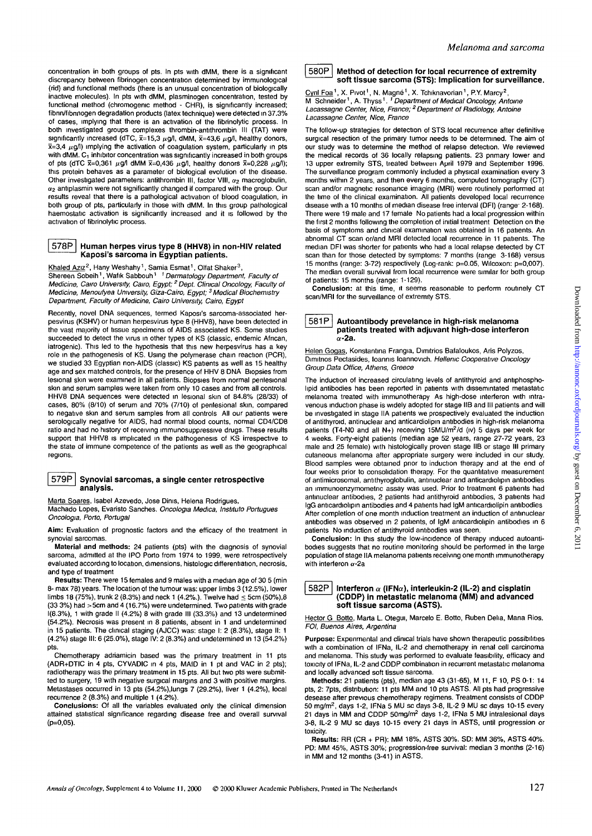concentration in both groups of pts. In pts with dMM, there is a significant discrepancy between fibrinogen concentration determined by immunological (rid) and functional methods (there is an unusual concentration of biologically inactive molecules). In pts with dMM, plasminogen concentration, tested by functional method (chromogenic method - CHR), is significantly increased; fibnn/fibnnogen degradation products (latex technique) were detected in 37.3% of cases, implying that there is an activation of the fibrinolytic process. In both investigated groups complexes thrombin-antithrombin III (TAT) were significantly increased (dTC,  $\bar{x}$ =15,3  $\mu$ g/l, dMM,  $\bar{x}$ =43,6  $\mu$ g/l, healthy donors,  $\bar{x}=3.4 \mu g/l$ ) implying the activation of coagulation system, particularly in pts with dMM.  $C_1$  inhibitor concentration was significantly increased in both groups of pts (dTC  $\bar{x}=0,361$   $\mu$ g/l dMM  $\bar{x}=0,436$   $\mu$ g/l, healthy donors  $\bar{x}=0,228$   $\mu$ g/l); this protein behaves as a parameter of biological evolution of the disease. Other investigated parameters: antithrombin III, factor VIII,  $\alpha_2$  macroglobulin,  $\alpha_2$  antiplasmin were not significantly changed if compared with the group. Our results reveal that there is a pathological activation of blood coagulation, in both group of pts, particularly in those with dMM. In this group pathological haemostatic activation is significantly increased and it is followed by the activation of fibrinolytic process.

# **| 578P | Human herpes virus type 8 (HHV8) in non-HIV related Kaposi's sarcoma in Egyptian patients.**

Khaled Azız<sup>2</sup>, Hany Weshahy<sup>1</sup>, Samia Esmat<sup>1</sup>, Olfat Shaker<sup>3</sup> <u>Khaled Aziz</u><sup>z</sup>, Hany Weshahy <sup>1</sup>, Samia Esmat <sup>1</sup>, Olfat Shaker<sup>3</sup>,<br>Shereen Sobeih <sup>1</sup>, Wafik Sabbouh <sup>1 – †</sup> *Dermatology Department, Faculty of*<br>*Medicine, Cairo University, Cairo, Egypt; <sup>2</sup> Dept. Clinical Oncology, F* Medicine, Menoufyea University, Giza-Cairo, Egypt; <sup>3</sup> Medical Biochemistry Department, Faculty of Medicine, Cairo University, Cairo, Egypt

Recently, novel DNA sequences, termed Kaposi's sarcoma-associated herpesvirus (KSHV) or human herpesvirus type 8 (HHV8), have been detected in the vast majority of tissue specimens of AIDS associated KS. Some studies succeeded to detect the virus in other types of KS (classic, endemic African, iatrogenic). This led to the hypothesis that this new herpesvirus has a key role in the pathogenesis of KS. Using the polymerase chain reaction (PCR), we studied 33 Egyptian non-AIDS (classic) KS patients as well as 15 healthy age and sex matched controls, for the presence of HHV 8 DNA Biopsies from lesional skin were examined in all patients. Biopsies from normal penlesional skin and serum samples were taken from only 10 cases and from all controls. HHV8 DNA sequences were detected in lesional skin of 84.8% (28/33) of cases, 80% (8/10) of serum and 70% (7/10) of penlesional skin, compared to negative skin and serum samples from all controls All our patients were serologically negative for AIDS, had normal blood counts, normal CD4/CD8 ratio and had no history of receiving immunosuppressive drugs. These results support that HHV8 is implicated in the pathogenesis of KS irrespective to the state of immune competence of the patients as well as the geographical regions.

#### **| 579P | Synovial sarcomas, a single center retrospective analysis.**

Marta Soares, Isabel Azevedo, Jose Dinis, Helena Rodrigues, Machado Lopes, Evaristo Sanches. Oncologia Medica, Instituto Portugues Oncologia, Porto, Portugal

**Aim:** Evaluation of prognostic factors and the efficacy of the treatment in synovial sarcomas.

**Material and methods:** 24 patients (pts) with the diagnosis of synovial sarcoma, admitted at the IPO Porto from 1974 to 1999, were retrospectively evaluated according to location, dimensions, histologic differentiation, necrosis, and type of treatment

**Results:** There were 15 females and 9 males with a median age of 30 5 (min 8- max 78) years. The location of the tumour was: upper limbs 3 (12.5%), lower limbs 18 (75%), trunk 2 (8.3%) and neck 1 (4.2%.). Twelve had  $\leq$  5cm (50%), 8 (33 3%) had >5cm and 4 (16.7%) were undetermined. Two patients with grade 1(8.3%), 1 with grade II (4.2%) 8 with grade III (33.3%) and 13 undetermined (54.2%). Necrosis was present in 8 patients, absent in 1 and undetermined in 15 patients. The clinical staging (AJCC) was: stage I: 2 (8.3%), stage II: 1 (4.2%) stage III: 6 (25.0%), stage IV: 2 (8.3%) and undetermined in 13 (54.2%) pts.

Chemotherapy adriamicin based was the primary treatment in 11 pts (ADR+DTIC in 4 pts, CYVADIC in 4 pts, MAID in 1 pt and VAC in 2 pts); radiotherapy was the primary treatment in 15 pts. All but two pts were submitted to surgery, 19 with negative surgical margins and 3 with positive margins. Metastases occurred in 13 pts (54.2%),lungs 7 (29.2%), liver 1 (4.2%), local recurrence 2 (8.3%) and multiple 1 (4.2%).

**Conclusions:** Of all the variables evaluated only the clinical dimension attained statistical significance regarding disease free and overall survival (p=0,05).

# **[ 580P | Method of detection for local recurrence of extremity soft tissue sarcoma (STS): Implication for surveillance.**

Cynl Foa<sup>1</sup>, X. Pivot<sup>1</sup>, N. Magné<sup>1</sup>, X. Tchiknavorian<sup>1</sup>, P.Y. Marcy<sup>2</sup>, M Schneider<sup>1</sup>, A. Thyss<sup>1</sup>. <sup>1</sup> Department of Medical Oncology, Antoine Lacassagne Center, Nice, France; <sup>2</sup> Department of Radiology, Antoine Lacassagne Center, Nice, France

The follow-up strategies for detection of STS local recurrence after definitive surgical resection of the primary tumor needs to be determined. The aim of our study was to determine the method of relapse detection. We reviewed the medical records of 36 locally relapsing patients. 23 pnmary lower and 13 upper extremity STS, treated between April 1979 and September 1996. The surveillance program commonly included a physical examination every 3 months within 2 years, and then every 6 months, computed tomography (CT) scan and/or magnetic resonance imaging (MRI) were routinely performed at the time of the clinical examination. All patients developed local recurrence disease with a 10 months of median disease free interval (DFI) (range- 2-168). There were 19 male and 17 female No patients had a local progression within the first 2 months following the completion of initial treatment Detection on the basis of symptoms and clinical examination was obtained in 16 patients. An abnormal CT scan or/and MRI detected local recurrence in 11 patients. The median DFI was shorter for patients who had a local relapse detected by CT scan than for those detected by symptoms: 7 months (range 3-168) versus 15 months (range: 3-72) respectively (Log-rank: p=0.05, Wilcoxon: p=0,007). The median overall survival from local recurrence were similar for both group of patients: 15 months (range: 1-129).

**Conclusion:** at this time, it seems reasonable to perform routinely CT scan/MRI for the surveillance of extremity STS.

# **[ 581P I Autoantibody prevelance in high-risk melanoma patients treated with adjuvant high-dose interferon a-2a.**

Helen Gogas, Konstantina Frangia, Dimitrios Bafaloukos, Aris Polyzos, Dimitnos Pectasides, loannis loannovich. Hellenic Cooperative Oncology Group Data Office, Athens, Greece

The induction of increased circulating levels of antithyroid and antiphospholipid antibodies has been reported in patients with dissemintated metastatic melanoma treated with immunotherapy As high-dose interferon with intravenous induction phase is widely adopted for stage IIB and III patients and will be investigated in stage IIA patients we prospectively evaluated the induction of antithyroid, antinuclear and anticardiolipin antibodies in high-risk melanoma patients (T4-N0 and all N+) receiving 15MU/m<sup>2</sup>/d (iv) 5 days per week for 4 weeks. Forty-eight patients (median age 52 years, range 27-72 years, 23 male and 25 female) with histologically proven stage IIB or stage III primary cutaneous melanoma after appropriate surgery were included in our study. Blood samples were obtained prior to induction therapy and at the end of four weeks prior to consolidation therapy. For the quantitative measurement of antimicrosomal, antithyroglobulin, antinuclear and anticardiolipin antibodies an immunoenzymometnc assay was used. Prior to treatment 6 patients had antinuclear antibodies, 2 patients had antithyroid antibodies, 3 patients had IgG anticardiolipin antibodies and 4 patients had IgM anticardiolipin antibodies After completion of one month induction treatment an induction of antinuclear antibodies was observed in 2 patients, of IgM anticardiolipin antibodies in 6 patients No induction of antithyroid antibodies was seen.

**Conclusion:** In this study the low-incidence of therapy induced autoantibodies suggests that no routine monitoring should be performed in the large population of stage IIA melanoma patients receiving one month immunotherapy with interferon  $\alpha$ -2a

#### **[ 582P | Interferon a (IFNa), interleukin-2 (IL-2) and cisplatin (CDDP) in metastatic melanoma (MM) and advanced soft tissue sarcoma (ASTS).**

Hector G Botto, Marta L. Otegui, Marcelo E. Botto, Ruben Delia, Mana Rios. FOI, Buenos Aires, Argentina

**Purpose:** Experimental and clinical trials have shown therapeutic possibilities with a combination of IFNa, IL-2 and chemotherapy in renal cell carcinoma and melanoma. This study was performed to evaluate feasibility, efficacy and toxicity of IFNa, IL-2 and CDDP combination in recurrent metastatic melanoma and locally advanced soft tissue sarcoma.

**Methods:** 21 patients (pts), median age 43 (31-65), M 11, F 10, PS 0-1: 14 pts, 2: 7pts, distribution: 11 pts MM and 10 pts ASTS. All pts had progressive desease after previous chemotherapy regimens. Treatment consists of CDDP 50 mg/m<sup>2</sup>, days 1-2, IFNa 5 MU sc days 3-8, IL-2 9 MU sc days 10-15 every 21 days in MM and CDDP 50mg/m<sup>2</sup> days 1-2, IFNa 5 MU intralesional days 3-8, IL-2 9 MU sc days 10-15 every 21 days in ASTS, until progression or toxicity.

**Results:** RR (CR + PR): MM 18%, ASTS 30%. SD: MM 36%, ASTS 40%. PD: MM 45%, ASTS 30%; progression-free survival: median 3 months (2-16) in MM and 12 months (3-41) in ASTS.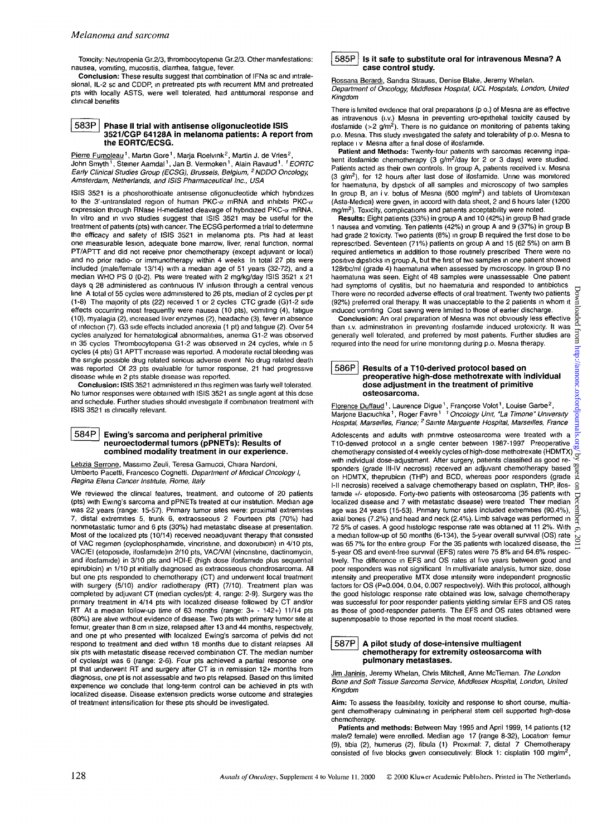Toxicity: Neutropenia Gr.2/3, thrombocytopenia Gr.2/3. Other manifestations: nausea, vomiting, mucositis, diarrhea, fatigue, fever.

**Conclusion:** These results suggest that combination of IFNa sc and intralesional, IL-2 sc and CDDP, in pretreated pts with recurrent MM and pretreated pts with locally ASTS, were well tolerated, had antitumoral response and .<br>clinical benefits

# **| 583P | Phase II trial with antisense oligonucleotide ISIS 3521/CGP 64128A in melanoma patients: A report from the EORTC/ECSG.**

Pierre Fumoleau<sup>1</sup>, Martin Gore<sup>1</sup>, Marja Roelvink<sup>2</sup>, Martin J. de Vries<sup>2</sup>, John Smyth', Steiner Aamdal', Jan B. Vermoken', Alain Ravaud'. *' EORTC*<br>*Early Clinical Studies Group (ECSG), Brussels, Belgium, <sup>2</sup> NDDO Oncology,* Amsterdam, Netherlands, and ISIS Pharmaceutical Inc., USA

ISIS 3521 is a phoshorothioate antisense oligonucleotide which hybridizes to the 3'-untranslated region of human PKC- $\alpha$  mRNA and inhibits PKC- $\alpha$ expression through RNase H-mediated cleavage of hybridized PKC- $\alpha$  mRNA. In vitro and in vivo studies suggest that ISIS 3521 may be useful for the treatment of patients (pts) with cancer. The ECSG performed a trial to determine the efficacy and safety of ISIS 3521 in melanoma pts. Pts had at least one measurable lesion, adequate bone marrow, liver, renal function, normal PT/APTT and did not receive prior chemotherapy (except adjuvant or local) and no prior radio- or immunotherapy within 4 weeks In total 27 pts were included (male/female 13/14) with a median age of 51 years (32-72), and a median WHO PS 0 (0-2). Pts were treated with 2 mg/kg/day ISIS 3521 x 21 days q 28 administered as continuous IV infusion through a central venous line A total of 55 cycles were administered to 26 pts, median of 2 cycles per pt (1-8) The majority of pts (22) received 1 or 2 cycles CTC grade (G)1-2 side effects occurring most frequently were nausea (10 pts), vomiting (4), fatigue (10), myalagia (2), increased liver enzymes (2), headache (3), fever in absence of infection (7). G3 side effects included anorexia (1 pt) and fatigue (2). Over 54 cycles analyzed for hematological abnormalities, anemia G1-2 was observed in 35 cycles Thrombocytopenia G1-2 was observed in 24 cycles, while in 5 cycles (4 pts) G1 APTT increase was reported. A moderate rectal bleeding was the single possible drug related serious adverse event No drug related death was reported Of 23 pts evaluable for tumor response, 21 had progressive disease while in 2 pts stable disease was reported.

**Conclusion:** ISIS 3521 administered in this regimen was fairly well tolerated. No tumor responses were obtained with ISIS 3521 as single agent at this dose and schedule. Further studies should investigate if combination treatment with ISIS 3521 is clinically relevant.

#### **| 584P | Ewing's sarcoma and peripheral primitive neuroectodermal tumors (pPNETs): Results of combined modality treatment in our experience.**

Letizia Serrone, Massimo Zeuli, Teresa Gamucci, Chiara Nardoni, Umberto Pacetti, Francesco Cognetti. Department of Medical Oncology I, Regina Elena Cancer Institute, Rome, Italy

We reviewed the clinical features, treatment, and outcome of 20 patients (pts) with Ewing's sarcoma and pPNETs treated at our institution. Median age was 22 years (range: 15-57). Primary tumor sites were: proximal extremities 7, distal extremities 5, trunk 6, extraosseous 2 Fourteen pts (70%) had nonmetastatic tumor and 6 pts (30%) had metastatic disease at presentation. Most of the localized pts (10/14) received neoadjuvant therapy that consisted of VAC regimen (cyclophosphamide, vincristine, and doxorubicin) in 4/10 pts, VAC/EI (etoposide, ifosfamide)m 2/10 pts, VAC/VAI (vincristine, dactinomycin, and ifosfamide) in 3/10 pts and HDI-E (high dose ifosfamide plus sequential epirubicin) in 1/10 pt initially diagnosed as extraosseous chondrosarcoma. All but one pts responded to chemotherapy (CT) and underwent local treatment with surgery (5/10) and/or radiotherapy (RT) (7/10). Treatment plan was completed by adjuvant CT (median cycles/pt: 4, range: 2-9). Surgery was the primary treatment in 4/14 pts with localized disease followed by CT and/or RT At a median follow-up time of 63 months (range: 3+ - 142+) 11/14 pts (80%) are alive without evidence of disease. Two pts with primary tumor site at femur, greater than 8 cm in size, relapsed after 13 and 44 months, respectively, and one pt who presented with localized Ewing's sarcoma of pelvis did not respond to treatment and died within 18 months due to distant relapses All six pts with metastatic disease received combination CT. The median number of cycles/pt was 6 (range: 2-6). Four pts achieved a partial response one pt that underwent RT and surgery after CT is in remission 12+ months from diagnosis, one pt is not assessable and two pts relapsed. Based on this limited experience we conclude that long-term control can be achieved in pts with localized disease. Disease extension predicts worse outcome and strategies of treatment intensification for these pts should be investigated.

### $| 585P |$  is it safe to substitute oral for intravenous Mesna? A **case control study.**

Rossana Berardi, Sandra Strauss, Denise Blake, Jeremy Whelan. Department of Oncology, Middlesex Hospital, UCL Hospitals, London, United Kingdom

There is limited evidence that oral preparations (p o.) of Mesna are as effective as intravenous (i.v.) Mesna in preventing uro-epithelial toxicity caused by ifosfamide (>2  $g/m<sup>2</sup>$ ). There is no guidance on monitoring of patients taking p.o. Mesna. This study investigated the safety and tolerabihty of p.o. Mesna to replace i v Mesna after a final dose of ifosfamide.

**Patient and Methods:** Twenty-four patients with sarcomas receiving inpatient ifosfamide chemotherapy (3 g/m<sup>2</sup>/day for 2 or 3 days) were studied. Patients acted as their own controls. In group A, patients received i.v. Mesna  $(3 \text{ g/m}^2)$ , for 12 hours after last dose of ifosfamide. Urine was monitored for haematuna, by dipstick of all samples and microscopy of two samples In group B, an i v. bolus of Mesna (600 mg/m<sup>2</sup>) and tablets of Uromitexan (Asta-Medica) were given, in accord with data sheet, 2 and 6 hours later (1200 mg/m<sup>2</sup>). Toxicity, complications and patients acceptability were noted.

**Results:** Eight patients (33%) in group A and 10 (42%) in group B had grade 1 nausea and vomiting. Ten patients (42%) in group A and 9 (37%) in group B had grade 2 toxicity. Two patients (8%) in group B required the first dose to be represcribed. Seventeen (71%) patients on group A and 15 (62 5%) on arm B required antiemetics in addition to those routinely prescribed There were no positive dipsticks in group A, but the first of two samples in one patient showed 128rbc/ml (grade 4) haematuna when assessed by microscopy. In group B no haematuna was seen. Eight of 48 samples were unassessable One patient had symptoms of cystitis, but no haematuria and responded to antibiotics Downlc There were no recorded adverse effects of oral treatment. Twenty two patients (92%) preferred oral therapy. It was unacceptable to the 2 patients in whom it induced vomiting Cost saving were limited to those of earlier discharge.

oaded **Conclusion:** An oral preparation of Mesna was not obviously less effective than i.v. administration in preventing ifosfamide induced urotoxicity. It was I from generally well tolerated, and preferred by most patients. Further studies are required into the need for urine monitoring during p.o. Mesna therapy. http://annonc.oxfordjour

### **| 586P | Results of a T10-derived protocol based on preoperative high-dose methotrexate with individual dose adjustment in the treatment of primitive osteosarcoma.**

F<u>lorence Duffaud</u> <sup>1</sup>, Laurence Digue <sup>1</sup>, Françoise Volot <sup>1</sup>, Louise Garbe <sup>2</sup>,<br>Marjone Baciuchka <sup>1</sup>, Roger Favre <sup>17</sup> Oncology Unit, "La Timone" University Hospital, Marseilles, France; 2 Samte Marguerite Hospital, Marseilles, France

Adolescents and adults with primitive osteosarcoma were treated with a T10-derived protocol in a single center between 1987-1997 Preoperative T10-denved protocol in a single center between 1987-1997 Preoperative chemotherapy consisted of 4 weekly cycles of high-dose methotrexate (HDMTX) with individual dose-adjustment. After surgery, patients classified as good responders (grade III-IV necrosis) received an adjuvant chemotherapy based on HDMTX, theprubicin (THP) and BCD, whereas poor responders (grade l-ll necrosis) received a salvage chemotherapy based on cisplatin, THP, ifosfamide +/- etoposide. Forty-two patients with osteosarcoma (35 patients with localized disease and 7 with metastatic disease) were treated Their median age was 24 years (15-53). Primary tumor sites included extremities (90.4%), axial bones (7.2%) and head and neck (2.4%). Limb salvage was performed in 72 5% of cases. A good histologic response rate was obtained at 11 2%. With  $\frac{1}{\sigma}$ a median follow-up of 50 months (6-134), the 5-year overall survival (OS) rate was 65.7% for the entire group For the 35 patients with localized disease, the  $\ge$ <br>5-year CS patients with localized disease, the  $\ge$ 5-year OS and event-free survival (EFS) rates were 75 8% and 64.6% respectively. The difference in EFS and OS rates at five years between good and poor responders was not significant In multivariate analysis, tumor size, dose intensity and preoperative MTX dose intensity were independent prognostic factors for OS (P=0.004, 0.04, 0.007 respectively). With this protocol, although the good histologic response rate obtained was low, salvage chemotherapy was successful for poor responder patients yielding similar EFS and OS rates as those of good-responder patients. The EFS and OS rates obtained were supenmposable to those reported in the most recent studies.  $Downloaded from http://amnon.c.oxi-*o*tigumal.$ 

#### **I 587P | A pilot study of dose-intensive multiagent chemotherapy for extremity osteosarcoma with pulmonary metastases.**

Jim Janinis, Jeremy Whelan, Chris Mitchell, Anne McTiernan. The London Bone and Soft Tissue Sarcoma Service, Middlesex Hospital, London, United Kingdom

**Aim:** To assess the feasibility, toxicity and response to short course, multiagent chemotherapy culminating in peripheral stem cell supported high-dose chemotherapy.

**Patients and methods:** Between May 1995 and April 1999, 14 patients (12 male/2 female) were enrolled. Median age 17 (range 8-32), Location: femur (9), tibia (2), humerus (2), fibula (1) Proximal: 7, distal 7 Chemotherapy consisted of five blocks given consecutively: Block 1: cisplatin 100 mg/m<sup>2</sup>,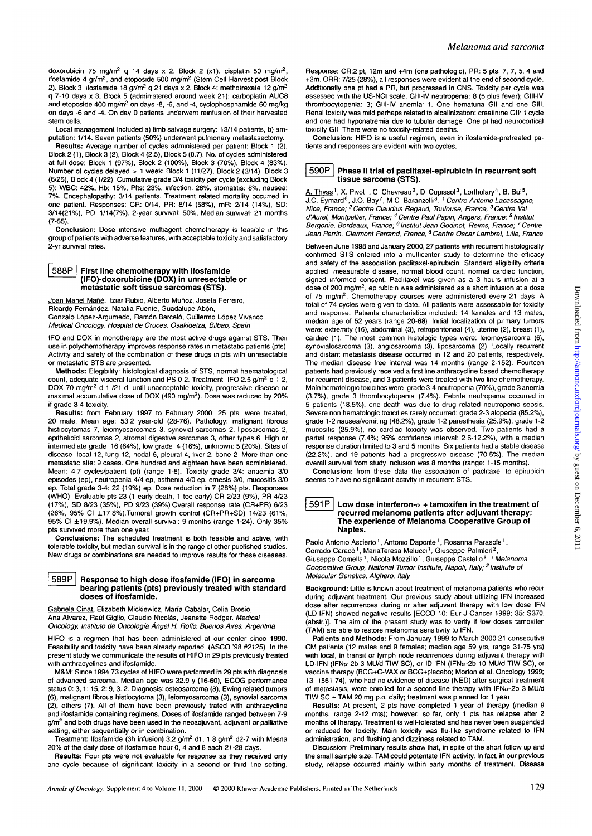doxorubicin 75 mg/m<sup>2</sup> q 14 days x 2. Block 2 (x1). cisplatin 50 mg/m<sup>2</sup>, ifosfamide 4 gr/m<sup>2</sup>, and etoposide 500 mg/m<sup>2</sup> (Stem Cell Harvest post Block 2). Block 3 ifosfamide 18 gr/m<sup>2</sup> q 21 days x 2. Block 4: methotrexate 12 g/m<sup>2</sup> q 7-10 days x 3. Block 5 (administered around week 21): carboplatin AUC8 and etoposide 400 mg/m<sup>2</sup> on days -8, -6, and -4, cyclophosphamide 60 mg/kg on days -6 and -4. On day 0 patients underwent reinfusion of their harvested stem cells.

Local management included a) limb salvage surgery: 13/14 patients, b) amputation: 1/14. Seven patients (50%) underwent pulmonary metastasectomy.

**Results:** Average number of cycles administered per patient: Block 1 (2), Block 2(1), Block 3 (2), Block 4 (2.5), Block 5 (0.7). No. of cycles administered at full dose: Block 1 (97%), Block 2 (100%), Block 3 (70%), Block 4 (83%). Number of cycles delayed > 1 week: Block 1 (11/27), Block 2 (3/14), Block 3 (6/26), Block 4 (1/22). Cumulative grade 3/4 toxicity per cycle (excluding Block 5): WBC: 42%, Hb: 15%, Pits: 23%, infection: 28%, stomatitis: 8%, nausea: 7%. Encephalopathy: 3/14 patients. Treatment related mortality occurred in one patient. Responses: CR: 0/14, PR: 8/14 (58%), mR: 2/14 (14%), SD: 3/14(21%), PD: 1/14(7%). 2-year survival: 50%, Median survival- 21 months (7-55).

**Conclusion:** Dose intensive multiagent chemotherapy is feasible in this group of patients with adverse features, with acceptable toxicity and satisfactory 2-yr survival rates.

#### **| 588P [ First line chemotherapy with ifosfamide (IFO)-doxorubicine (DOX) in unresectable or metastatic soft tissue sarcomas (STS).**

Joan Manel Mañé, Itziar Rubio, Alberto Muñoz, Josefa Ferreiro, Ricardo Fernández, Natalia Fuente, Guadalupe Abón, Gonzalo López-Argumedo, Ramón Barceló, Guillermo López Vivanco Medical Oncology, Hospital de Cruces, Osakidetza, Bilbao, Spain

IFO and DOX in monotherapy are the most active drugs against STS. Their use in polychemotherapy improves response rates in metastatic patients (pts) Activity and safety of the combination of these drugs in pts with unresectable or metastatic STS are presented.

**Methods:** Elegibility: histological diagnosis of STS, normal haematological count, adequate visceral function and PS 0-2. Treatment IFO 2.5 g/m<sup>2</sup> d 1-2, DOX 70 mg/m<sup>2</sup> d 1 /21 d, until unacceptable toxicity, progressive disease or maximal accumulative dose of DOX (490 mg/m<sup>2</sup>). Dose was reduced by 20% if grade 3-4 toxicity.

**Results:** from February 1997 to February 2000, 25 pts. were treated, 20 male. Mean age: 53 2 year-old (28-76). Pathology: malignant fibrous histiocytomas 7, leiomyosarcomas 3, synovial sarcomas 2, liposarcomas 2, epithehoid sarcomas 2, stromal digestive sarcomas 3, other types 6. High or intermediate grade 16 (64%), low grade 4 (16%), unknown: 5 (20%). Sites of disease local 12, lung 12, nodal 6, pleural 4, liver 2, bone 2 More than one metastatic site: 9 cases. One hundred and eighteen have been administered. Mean: 4.7 cycles/patient (pt) (range 1-8). Toxicity grade 3/4: anaemia 3/0 episodes (ep), neutropenia 4/4 ep, asthenia 4/0 ep, emesis 3/0, mucositis 3/0 ep. Total grade 3-4: 22 (19%) ep. Dose reduction in 7 (28%) pts. Responses (WHO) Evaluable pts 23 (1 early death, 1 too early) CR 2/23 (9%), PR 4/23 (17%), SD 8/23 (35%), PD 9/23 (39%) Overall response rate (CR+PR) 6/23  $(26\%$ , 95% Cl  $\pm$ 17 8%).Tumoral growth control  $(CR+PR+SD)$  14/23  $(61\%$ , 95% Cl ±19.9%). Median overall survival: 9 months (range 1-24). Only 35% pts survived more than one year.

**Conclusions:** The scheduled treatment is both feasible and active, with tolerable toxicity, but median survival is in the range of other published studies. New drugs or combinations are needed to improve results for these diseases.

### **| 589P | Response to high dose ifosfamide (IFO) in sarcoma bearing patients (pts) previously treated with standard doses of ifosfamide.**

Gabnela Cinat, Elizabeth Mickiewicz, Maria Cabalar, Celia Brosio, Ana Alvarez, Raúl Giglio, Claudio Nicolás, Jeanette Rodger. Medical Oncology, Institulo de Oncologia Angel H, Roffo, Buenos Aires, Argentina

HIFO is a regimen that has been administered at our center since 1990. Feasibility and toxicity have been already reported. (ASCO '98 #2125). In the present study we communicate the results of HIFO in 29 pts previously treated with anthracyclines and ifosfamide.

M&M: Since 1994 73 cycles of HIFO were performed in 29 pts with diagnosis of advanced sarcoma. Median age was 32.9 y (16-60), ECOG performance status 0: 3,1:15,2:9, 3. 2. Diagnosis: osteosarcoma (8), Ewing related tumors (6), malignant fibrous histiocytoma (3), leiomyosarcoma (3), synovial sarcoma (2), others (7). All of them have been previously trated with anthracycline and ifosfamide containing regimens. Doses of ifosfamide ranged between 7-9 g/m<sup>2</sup> and both drugs have been used in the neoadjuvant, adjuvant or palliative setting, either sequentially or in combination.

Treatment: Ifosfamide (3h infusion) 3.2 g/m<sup>2</sup> d1, 1 8 g/m<sup>2</sup> d2-7 with Mesna 20% of the daily dose of ifosfamide hour 0, 4 and 8 each 21 -28 days.

**Results:** Four pts were not evaluable for response as they received only one cycle because of significant toxicity in a second or third line setting. Response: CR:2 pt, 12m and +4m (one pathologic), PR: 5 pts, 7, 7, 5, 4 and +2m. ORR: 7/25 (28%), all responses were evident at the end of second cycle. Additionally one pt had a PR, but progressed in CNS. Toxicity per cycle was assessed with the US-NCI scale. GIII-IV neutropenia: 8 (5 plus fever); GIII-IV thrombocytopenia: 3; GIII-IV anemia' 1. One hematuna Gil and one Gill. Renal toxicity was mild perhaps related to alcalinization: creatinine **Gil"** 1 cycle and one had hyponatremia due to tubular damage One pt had neurocortical toxicity Gil. There were no toxicity-related deaths.

**Conclusion:** HIFO is a useful regimen, even in ifosfamide-pretreated patients and responses are evident with two cycles.

## **590P Phase II trial of paclitaxel-epirubicin in recurrent soft tissue sarcoma (STS).**

A. Thyss<sup>1</sup>, X. Pivot<sup>1</sup>, C Chevreau<sup>2</sup>, D Cupissol<sup>3</sup>, Lortholary<sup>4</sup>, B. Bui<sup>5</sup>,<br>J.C. Eymard<sup>6</sup>, J.O. Bay<sup>7</sup>, M C Baranzelli<sup>8</sup>. <sup>1</sup> Centre Antoine Lacassagne,<br>Nice, France; <sup>2</sup> Centre Claudius Regaud, Toulouse, France, <sup></sup> d'Aurel, Montpellier, France; <sup>4</sup> Centre Paul Papin, Angers, France; <sup>5</sup> Institut Bergonie, Bordeaux, France; <sup>6</sup> Institut Jean Godinot, Reims, France; <sup>7</sup> Centre Jean Perrin, Clermont Ferrand, France, <sup>8</sup> Centre Oscar Lambret, Lille, France

Between June 1998 and January 2000,27 patients with recurrent histologically confirmed STS entered into a multicenter study to determine the efficacy and safety of the association paclitaxel-epirubicin Standard eligibility criteria applied measurable disease, normal blood count, normal cardiac function, signed informed consent. Paclitaxel was given as a 3 hours infusion at a dose of 200 mg/m<sup>2</sup>, epirubicin was administered as a short infusion at a dose of 75 mg/m<sup>2</sup>. Chemotherapy courses were administered every 21 days A total of 74 cycles were given to date. All patients were assessable for toxicity and response. Patients characteristics included: 14 females and 13 males, median age of 52 years (range 20-68) Initial localization of primary tumors were: extremity (16), abdominal (3), retropentoneal (4), uterine (2), breast (1), cardiac (1). The most common histologic types were: leiomoysarcoma (6), synovialosarcoma (3), angiosarcoma (3), liposarcoma (2). Locally recurrent and distant metastasis disease occurred in 12 and 20 patients, respectively. The median disease free interval was 14 months (range 2-152). Fourteen patients had previously received a first line anthracycline based chemotherapy for recurrent disease, and 3 patients were treated with two line chemotherapy. Main hematologic toxicities were grade 3-4 neutropenia (70%), grade 3 anemia (3.7%), grade 3 thrombocytopenia (7.4%). Febrile neutropenia occurred in 5 patients (18.5%), one death was due to drug related neutropenic sepsis. Severe non hematologic toxicities rarely occurred: grade 2-3 alopecia (85.2%), grade 1-2 nausea/vomiting (48.2%), grade 1-2 paresthesia (25.9%), grade 1-2 mucositis (25.9%), no cardiac toxicity was observed. Two patients had a partial response (7.4%; 95% confidence interval: 2 6-12.2%), with a median response duration limited to 3 and 5 months Six patients had a stable disease (22.2%), and 19 patients had a progressive disease (70.5%). The median overall survival from study inclusion was 8 months (range: 1-15 months). **Conclusion:** from these data the association of pachtaxel to epirubicin

seems to have no significant activity in recurrent STS.

#### $\vert$  591P  $\vert$  Low dose interferon- $\alpha$  + tamoxifen in the treatment of **recurred melanoma patients after adjuvant therapy: The experience of Melanoma Cooperative Group of Naples.**

Paolo Antonio Ascierto<sup>1</sup>, Antonio Daponte<sup>1</sup>, Rosanna Parasole<sup>1</sup>, Corrado Caracò<sup>1</sup>, ManaTeresa Melucci<sup>1</sup>, Giuseppe Palmieri<sup>2</sup>, Giuseppe Comella<sup>1</sup>, Nicola Mozzillo<sup>1</sup>, Giuseppe Castello<sup>1 1</sup> Melanoma Cooperative Group, National Tumor Institute, Napoli, Italy; <sup>2</sup> Institute of Molecular Genetics, Alghero, Italy

**Background:** Little is known about treatment of melanoma patients who recur during adjuvant treatment. Our previous study about utilizing IFN increased dose after recurrences during or after adjuvant therapy with low dose IFN (LD-IFN) showed negative results [ECCO 10: Eur J Cancer 1999; 35: S370. (abstr.)]. The aim of the present study was to verify if low doses tamoxifen (TAM) are able to restore melanoma sensitivity to **IFN.**

**Patients and Methods:** From January 1999 to March 2000 21 consecutive CM patients (12 males and 9 females; median age 59 yrs, range 31-75 yrs) with local, in transit or lymph node recurrences dunng adjuvant therapy with LD-IFN (IFNa-2b 3 MU/d TIW SC), or ID-IFN (IFNa-2b 10 MU/d TIW SC), or vaccine therapy (BCG+C-VAX or BCG+placebo; Morton et al. Oncology 1999; 13 1561-74), who had no evidence of disease (NED) after surgical treatment of metastasis, were enrolled for a second line therapy with  $IFN\alpha-2b$  3 MU/d TIW SC + TAM 20 mg p.o. daily; treatment was planned for 1 year

**Results:** At present, 2 pts have completed 1 year of therapy (median 9 months, range 2-12 mts); however, so far, only 1 pts has relapse after 2 months of therapy. Treatment is well-tolerated and has never been suspended or reduced for toxicity. Main toxicity was flu-like syndrome related to IFN administration, and flushing and dizziness related to TAM.

Discussion<sup>-</sup> Preliminary results show that, in spite of the short follow up and the small sample size, TAM could potentate IFN activity. In fact, in our previous study, relapse occurred mainly within early months of treatment. Disease